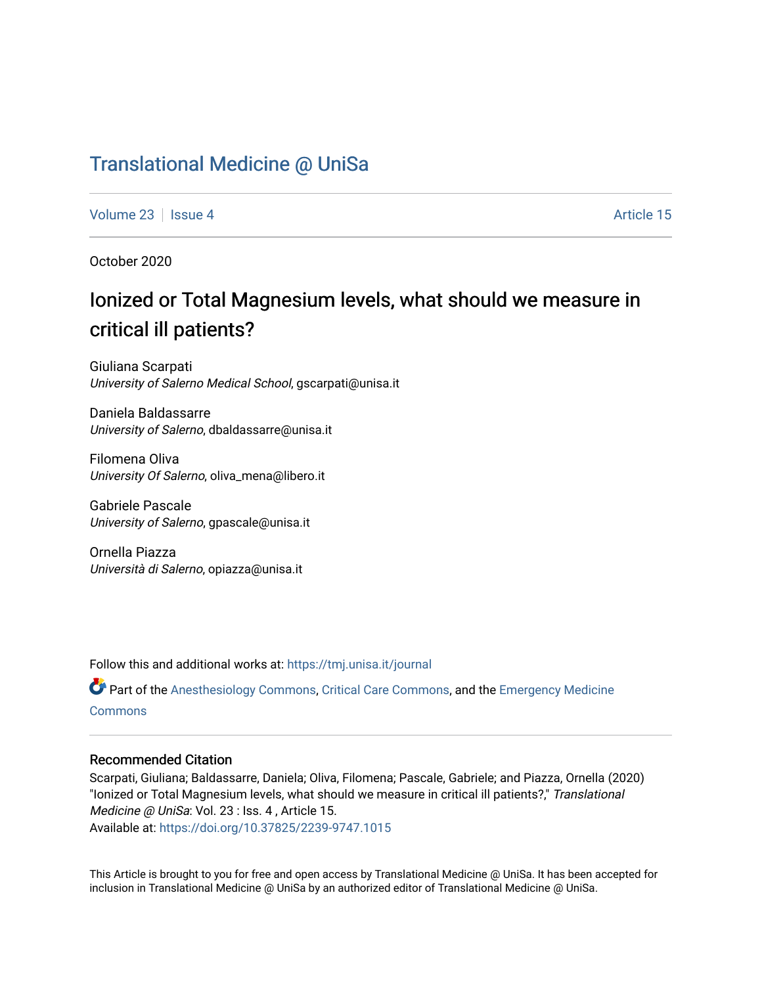# [Translational Medicine @ UniSa](https://tmj.unisa.it/journal)

[Volume 23](https://tmj.unisa.it/journal/vol23) | [Issue 4](https://tmj.unisa.it/journal/vol23/iss4) Article 15

October 2020

# Ionized or Total Magnesium levels, what should we measure in critical ill patients?

Giuliana Scarpati University of Salerno Medical School, gscarpati@unisa.it

Daniela Baldassarre University of Salerno, dbaldassarre@unisa.it

Filomena Oliva University Of Salerno, oliva\_mena@libero.it

Gabriele Pascale University of Salerno, gpascale@unisa.it

Ornella Piazza Università di Salerno, opiazza@unisa.it

Follow this and additional works at: [https://tmj.unisa.it/journal](https://tmj.unisa.it/journal?utm_source=tmj.unisa.it%2Fjournal%2Fvol23%2Fiss4%2F15&utm_medium=PDF&utm_campaign=PDFCoverPages)

Part of the [Anesthesiology Commons](http://network.bepress.com/hgg/discipline/682?utm_source=tmj.unisa.it%2Fjournal%2Fvol23%2Fiss4%2F15&utm_medium=PDF&utm_campaign=PDFCoverPages), [Critical Care Commons](http://network.bepress.com/hgg/discipline/1226?utm_source=tmj.unisa.it%2Fjournal%2Fvol23%2Fiss4%2F15&utm_medium=PDF&utm_campaign=PDFCoverPages), and the [Emergency Medicine](http://network.bepress.com/hgg/discipline/685?utm_source=tmj.unisa.it%2Fjournal%2Fvol23%2Fiss4%2F15&utm_medium=PDF&utm_campaign=PDFCoverPages)  [Commons](http://network.bepress.com/hgg/discipline/685?utm_source=tmj.unisa.it%2Fjournal%2Fvol23%2Fiss4%2F15&utm_medium=PDF&utm_campaign=PDFCoverPages)

# Recommended Citation

Scarpati, Giuliana; Baldassarre, Daniela; Oliva, Filomena; Pascale, Gabriele; and Piazza, Ornella (2020) "Ionized or Total Magnesium levels, what should we measure in critical ill patients?," Translational Medicine @ UniSa: Vol. 23 : Iss. 4 , Article 15. Available at:<https://doi.org/10.37825/2239-9747.1015>

This Article is brought to you for free and open access by Translational Medicine @ UniSa. It has been accepted for inclusion in Translational Medicine @ UniSa by an authorized editor of Translational Medicine @ UniSa.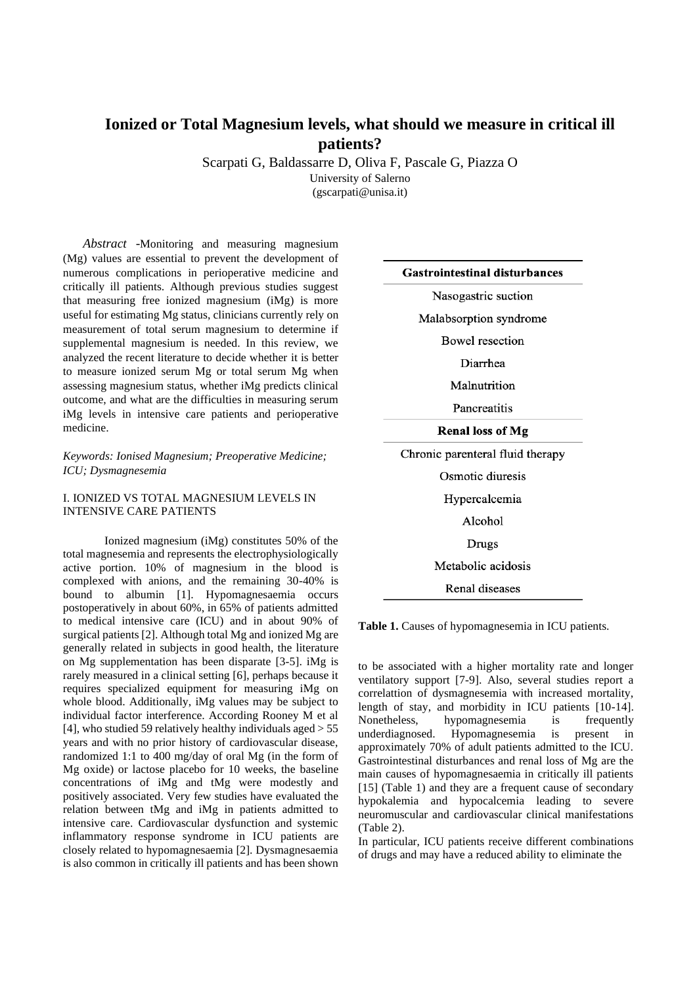# **Ionized or Total Magnesium levels, what should we measure in critical ill patients?**

Scarpati G, Baldassarre D, Oliva F, Pascale G, Piazza O University of Salerno (gscarpati@unisa.it)

*Abstract* -Monitoring and measuring magnesium (Mg) values are essential to prevent the development of numerous complications in perioperative medicine and critically ill patients. Although previous studies suggest that measuring free ionized magnesium (iMg) is more useful for estimating Mg status, clinicians currently rely on measurement of total serum magnesium to determine if supplemental magnesium is needed. In this review, we analyzed the recent literature to decide whether it is better to measure ionized serum Mg or total serum Mg when assessing magnesium status, whether iMg predicts clinical outcome, and what are the difficulties in measuring serum iMg levels in intensive care patients and perioperative medicine.

# *Keywords: Ionised Magnesium; Preoperative Medicine; ICU; Dysmagnesemia*

# I. IONIZED VS TOTAL MAGNESIUM LEVELS IN INTENSIVE CARE PATIENTS

Ionized magnesium (iMg) constitutes 50% of the total magnesemia and represents the electrophysiologically active portion. 10% of magnesium in the blood is complexed with anions, and the remaining 30-40% is bound to albumin [1]. Hypomagnesaemia occurs postoperatively in about 60%, in 65% of patients admitted to medical intensive care (ICU) and in about 90% of surgical patients [2]. Although total Mg and ionized Mg are generally related in subjects in good health, the literature on Mg supplementation has been disparate [3-5]. iMg is rarely measured in a clinical setting [6], perhaps because it requires specialized equipment for measuring iMg on whole blood. Additionally, iMg values may be subject to individual factor interference. According Rooney M et al [4], who studied 59 relatively healthy individuals aged > 55 years and with no prior history of cardiovascular disease, randomized 1:1 to 400 mg/day of oral Mg (in the form of Mg oxide) or lactose placebo for 10 weeks, the baseline concentrations of iMg and tMg were modestly and positively associated. Very few studies have evaluated the relation between tMg and iMg in patients admitted to intensive care. Cardiovascular dysfunction and systemic inflammatory response syndrome in ICU patients are closely related to hypomagnesaemia [2]. Dysmagnesaemia is also common in critically ill patients and has been shown

#### **Gastrointestinal disturbances**

Nasogastric suction

Malabsorption syndrome

**Bowel** resection

Diarrhea

Malnutrition

Pancreatitis

**Renal loss of Mg** 

Chronic parenteral fluid therapy

Osmotic diuresis

Hypercalcemia

Alcohol

**Drugs** 

Metabolic acidosis

Renal diseases

Table 1. Causes of hypomagnesemia in ICU patients.

to be associated with a higher mortality rate and longer ventilatory support [7-9]. Also, several studies report a correlattion of dysmagnesemia with increased mortality, length of stay, and morbidity in ICU patients [10-14]. Nonetheless, hypomagnesemia is frequently underdiagnosed. Hypomagnesemia is present in approximately 70% of adult patients admitted to the ICU. Gastrointestinal disturbances and renal loss of Mg are the main causes of hypomagnesaemia in critically ill patients [15] (Table 1) and they are a frequent cause of secondary hypokalemia and hypocalcemia leading to severe neuromuscular and cardiovascular clinical manifestations (Table 2).

In particular, ICU patients receive different combinations of drugs and may have a reduced ability to eliminate the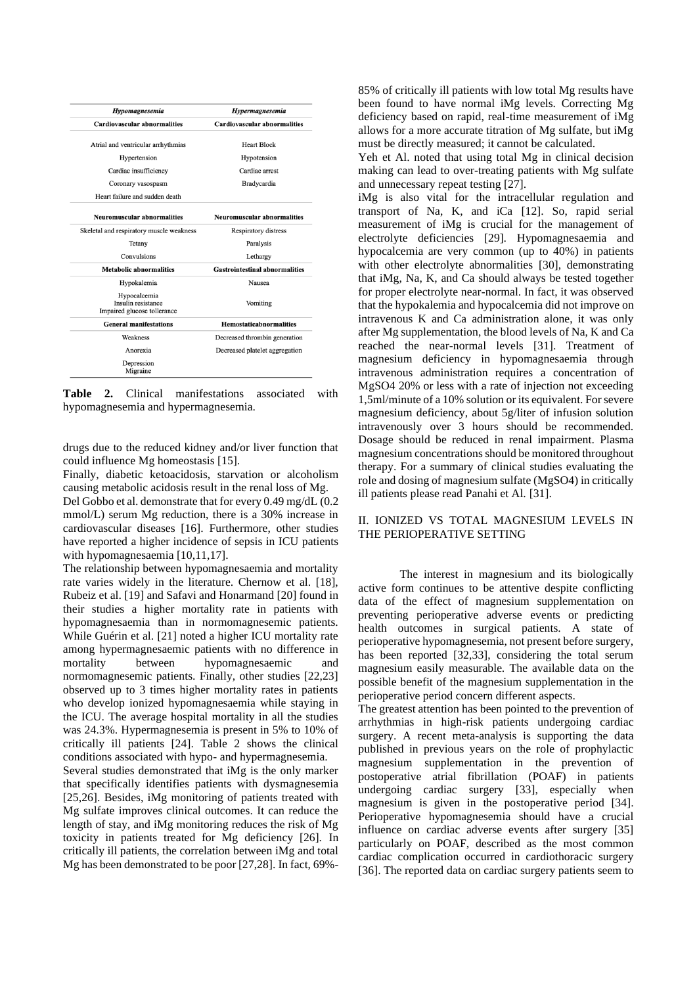| Hypomagnesemia                                                    | <b>Hypermagnesemia</b>                |
|-------------------------------------------------------------------|---------------------------------------|
| <b>Cardiovascular abnormalities</b>                               | <b>Cardiovascular abnormalities</b>   |
| Atrial and ventricular arrhythmias                                | <b>Heart Block</b>                    |
| Hypertension                                                      | Hypotension                           |
| Cardiac insufficiency                                             | Cardiac arrest                        |
| Coronary vasospasm                                                | <b>Bradycardia</b>                    |
| Heart failure and sudden death                                    |                                       |
| <b>Neuromuscular abnormalities</b>                                | <b>Neuromuscular abnormalities</b>    |
| Skeletal and respiratory muscle weakness                          | Respiratory distress                  |
| Tetany                                                            | Paralysis                             |
| Convulsions                                                       | Lethargy                              |
| <b>Metabolic abnormalities</b>                                    | <b>Gastrointestinal abnormalities</b> |
| Hypokalemia                                                       | Nausea                                |
| Hypocalcemia<br>Insulin resistance<br>Impaired glucose tollerance | Vomiting                              |
| <b>General manifestations</b>                                     | <b>Hemostaticabnormalities</b>        |
| Weakness                                                          | Decreased thrombin generation         |
| Anorexia                                                          | Decreased platelet aggregation        |
| Depression<br>Migraine                                            |                                       |

**Table 2.** Clinical manifestations associated with hypomagnesemia and hypermagnesemia.

drugs due to the reduced kidney and/or liver function that could influence Mg homeostasis [15].

Finally, diabetic ketoacidosis, starvation or alcoholism causing metabolic acidosis result in the renal loss of Mg. Del Gobbo et al. demonstrate that for every 0.49 mg/dL (0.2 mmol/L) serum Mg reduction, there is a 30% increase in cardiovascular diseases [16]. Furthermore, other studies have reported a higher incidence of sepsis in ICU patients with hypomagnesaemia [10,11,17].

The relationship between hypomagnesaemia and mortality rate varies widely in the literature. Chernow et al. [18], Rubeiz et al. [19] and Safavi and Honarmand [20] found in their studies a higher mortality rate in patients with hypomagnesaemia than in normomagnesemic patients. While Guérin et al. [21] noted a higher ICU mortality rate among hypermagnesaemic patients with no difference in mortality between hypomagnesaemic and normomagnesemic patients. Finally, other studies [22,23] observed up to 3 times higher mortality rates in patients who develop ionized hypomagnesaemia while staying in the ICU. The average hospital mortality in all the studies was 24.3%. Hypermagnesemia is present in 5% to 10% of critically ill patients [24]. Table 2 shows the clinical conditions associated with hypo- and hypermagnesemia.

Several studies demonstrated that iMg is the only marker that specifically identifies patients with dysmagnesemia [25,26]. Besides, iMg monitoring of patients treated with Mg sulfate improves clinical outcomes. It can reduce the length of stay, and iMg monitoring reduces the risk of Mg toxicity in patients treated for Mg deficiency [26]. In critically ill patients, the correlation between iMg and total Mg has been demonstrated to be poor [27,28]. In fact, 69%-

85% of critically ill patients with low total Mg results have been found to have normal iMg levels. Correcting Mg deficiency based on rapid, real-time measurement of iMg allows for a more accurate titration of Mg sulfate, but iMg must be directly measured; it cannot be calculated.

Yeh et Al. noted that using total Mg in clinical decision making can lead to over-treating patients with Mg sulfate and unnecessary repeat testing [27].

iMg is also vital for the intracellular regulation and transport of Na, K, and iCa [12]. So, rapid serial measurement of iMg is crucial for the management of electrolyte deficiencies [29]. Hypomagnesaemia and hypocalcemia are very common (up to 40%) in patients with other electrolyte abnormalities [30], demonstrating that iMg, Na, K, and Ca should always be tested together for proper electrolyte near-normal. In fact, it was observed that the hypokalemia and hypocalcemia did not improve on intravenous K and Ca administration alone, it was only after Mg supplementation, the blood levels of Na, K and Ca reached the near-normal levels [31]. Treatment of magnesium deficiency in hypomagnesaemia through intravenous administration requires a concentration of MgSO4 20% or less with a rate of injection not exceeding 1,5ml/minute of a 10% solution or its equivalent. For severe magnesium deficiency, about 5g/liter of infusion solution intravenously over 3 hours should be recommended. Dosage should be reduced in renal impairment. Plasma magnesium concentrations should be monitored throughout therapy. For a summary of clinical studies evaluating the role and dosing of magnesium sulfate (MgSO4) in critically ill patients please read Panahi et Al. [31].

# II. IONIZED VS TOTAL MAGNESIUM LEVELS IN THE PERIOPERATIVE SETTING

The interest in magnesium and its biologically active form continues to be attentive despite conflicting data of the effect of magnesium supplementation on preventing perioperative adverse events or predicting health outcomes in surgical patients. A state of perioperative hypomagnesemia, not present before surgery, has been reported [32,33], considering the total serum magnesium easily measurable. The available data on the possible benefit of the magnesium supplementation in the perioperative period concern different aspects.

The greatest attention has been pointed to the prevention of arrhythmias in high-risk patients undergoing cardiac surgery. A recent meta-analysis is supporting the data published in previous years on the role of prophylactic magnesium supplementation in the prevention of postoperative atrial fibrillation (POAF) in patients undergoing cardiac surgery [33], especially when magnesium is given in the postoperative period [34]. Perioperative hypomagnesemia should have a crucial influence on cardiac adverse events after surgery [35] particularly on POAF, described as the most common cardiac complication occurred in cardiothoracic surgery [36]. The reported data on cardiac surgery patients seem to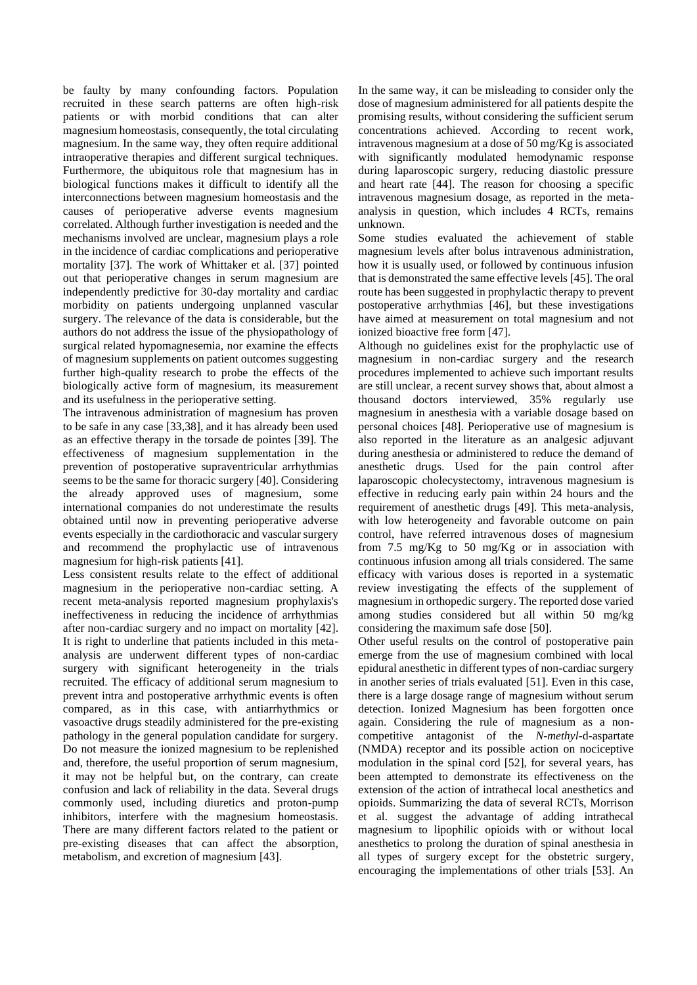be faulty by many confounding factors. Population recruited in these search patterns are often high-risk patients or with morbid conditions that can alter magnesium homeostasis, consequently, the total circulating magnesium. In the same way, they often require additional intraoperative therapies and different surgical techniques. Furthermore, the ubiquitous role that magnesium has in biological functions makes it difficult to identify all the interconnections between magnesium homeostasis and the causes of perioperative adverse events magnesium correlated. Although further investigation is needed and the mechanisms involved are unclear, magnesium plays a role in the incidence of cardiac complications and perioperative mortality [37]. The work of Whittaker et al. [37] pointed out that perioperative changes in serum magnesium are independently predictive for 30-day mortality and cardiac morbidity on patients undergoing unplanned vascular surgery. The relevance of the data is considerable, but the authors do not address the issue of the physiopathology of surgical related hypomagnesemia, nor examine the effects of magnesium supplements on patient outcomes suggesting further high-quality research to probe the effects of the biologically active form of magnesium, its measurement and its usefulness in the perioperative setting.

The intravenous administration of magnesium has proven to be safe in any case [33,38], and it has already been used as an effective therapy in the torsade de pointes [39]. The effectiveness of magnesium supplementation in the prevention of postoperative supraventricular arrhythmias seems to be the same for thoracic surgery [40]. Considering the already approved uses of magnesium, some international companies do not underestimate the results obtained until now in preventing perioperative adverse events especially in the cardiothoracic and vascular surgery and recommend the prophylactic use of intravenous magnesium for high-risk patients [41].

Less consistent results relate to the effect of additional magnesium in the perioperative non-cardiac setting. A recent meta-analysis reported magnesium prophylaxis's ineffectiveness in reducing the incidence of arrhythmias after non-cardiac surgery and no impact on mortality [42]. It is right to underline that patients included in this metaanalysis are underwent different types of non-cardiac surgery with significant heterogeneity in the trials recruited. The efficacy of additional serum magnesium to prevent intra and postoperative arrhythmic events is often compared, as in this case, with antiarrhythmics or vasoactive drugs steadily administered for the pre-existing pathology in the general population candidate for surgery. Do not measure the ionized magnesium to be replenished and, therefore, the useful proportion of serum magnesium, it may not be helpful but, on the contrary, can create confusion and lack of reliability in the data. Several drugs commonly used, including diuretics and proton-pump inhibitors, interfere with the magnesium homeostasis. There are many different factors related to the patient or pre-existing diseases that can affect the absorption, metabolism, and excretion of magnesium [43].

In the same way, it can be misleading to consider only the dose of magnesium administered for all patients despite the promising results, without considering the sufficient serum concentrations achieved. According to recent work, intravenous magnesium at a dose of 50 mg/Kg is associated with significantly modulated hemodynamic response during laparoscopic surgery, reducing diastolic pressure and heart rate [44]. The reason for choosing a specific intravenous magnesium dosage, as reported in the metaanalysis in question, which includes 4 RCTs, remains unknown.

Some studies evaluated the achievement of stable magnesium levels after bolus intravenous administration, how it is usually used, or followed by continuous infusion that is demonstrated the same effective levels [45]. The oral route has been suggested in prophylactic therapy to prevent postoperative arrhythmias [46], but these investigations have aimed at measurement on total magnesium and not ionized bioactive free form [47].

Although no guidelines exist for the prophylactic use of magnesium in non-cardiac surgery and the research procedures implemented to achieve such important results are still unclear, a recent survey shows that, about almost a thousand doctors interviewed, 35% regularly use magnesium in anesthesia with a variable dosage based on personal choices [48]. Perioperative use of magnesium is also reported in the literature as an analgesic adjuvant during anesthesia or administered to reduce the demand of anesthetic drugs. Used for the pain control after laparoscopic cholecystectomy, intravenous magnesium is effective in reducing early pain within 24 hours and the requirement of anesthetic drugs [49]. This meta-analysis, with low heterogeneity and favorable outcome on pain control, have referred intravenous doses of magnesium from 7.5 mg/Kg to 50 mg/Kg or in association with continuous infusion among all trials considered. The same efficacy with various doses is reported in a systematic review investigating the effects of the supplement of magnesium in orthopedic surgery. The reported dose varied among studies considered but all within 50 mg/kg considering the maximum safe dose [50].

Other useful results on the control of postoperative pain emerge from the use of magnesium combined with local epidural anesthetic in different types of non-cardiac surgery in another series of trials evaluated [51]. Even in this case, there is a large dosage range of magnesium without serum detection. Ionized Magnesium has been forgotten once again. Considering the rule of magnesium as a noncompetitive antagonist of the *N-methyl*-d-aspartate (NMDA) receptor and its possible action on nociceptive modulation in the spinal cord [52], for several years, has been attempted to demonstrate its effectiveness on the extension of the action of intrathecal local anesthetics and opioids. Summarizing the data of several RCTs, Morrison et al. suggest the advantage of adding intrathecal magnesium to lipophilic opioids with or without local anesthetics to prolong the duration of spinal anesthesia in all types of surgery except for the obstetric surgery, encouraging the implementations of other trials [53]. An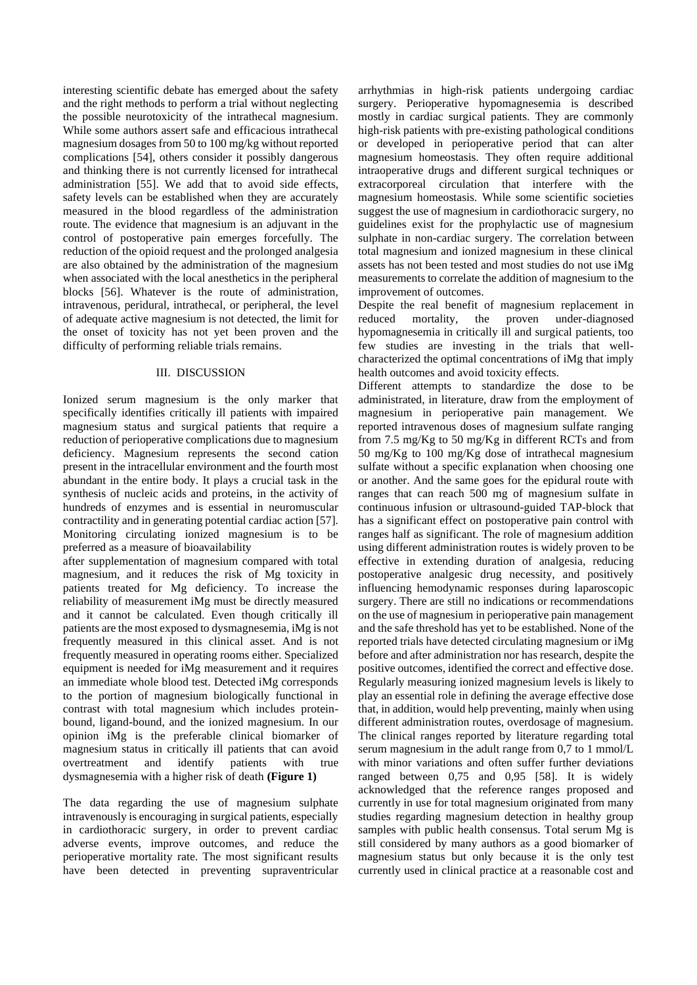interesting scientific debate has emerged about the safety and the right methods to perform a trial without neglecting the possible neurotoxicity of the intrathecal magnesium. While some authors assert safe and efficacious intrathecal magnesium dosages from 50 to 100 mg/kg without reported complications [54], others consider it possibly dangerous and thinking there is not currently licensed for intrathecal administration [55]. We add that to avoid side effects, safety levels can be established when they are accurately measured in the blood regardless of the administration route. The evidence that magnesium is an adjuvant in the control of postoperative pain emerges forcefully. The reduction of the opioid request and the prolonged analgesia are also obtained by the administration of the magnesium when associated with the local anesthetics in the peripheral blocks [56]. Whatever is the route of administration, intravenous, peridural, intrathecal, or peripheral, the level of adequate active magnesium is not detected, the limit for the onset of toxicity has not yet been proven and the difficulty of performing reliable trials remains.

### III. DISCUSSION

Ionized serum magnesium is the only marker that specifically identifies critically ill patients with impaired magnesium status and surgical patients that require a reduction of perioperative complications due to magnesium deficiency. Magnesium represents the second cation present in the intracellular environment and the fourth most abundant in the entire body. It plays a crucial task in the synthesis of nucleic acids and proteins, in the activity of hundreds of enzymes and is essential in neuromuscular contractility and in generating potential cardiac action [57]. Monitoring circulating ionized magnesium is to be preferred as a measure of bioavailability

after supplementation of magnesium compared with total magnesium, and it reduces the risk of Mg toxicity in patients treated for Mg deficiency. To increase the reliability of measurement iMg must be directly measured and it cannot be calculated. Even though critically ill patients are the most exposed to dysmagnesemia, iMg is not frequently measured in this clinical asset. And is not frequently measured in operating rooms either. Specialized equipment is needed for iMg measurement and it requires an immediate whole blood test. Detected iMg corresponds to the portion of magnesium biologically functional in contrast with total magnesium which includes proteinbound, ligand-bound, and the ionized magnesium. In our opinion iMg is the preferable clinical biomarker of magnesium status in critically ill patients that can avoid<br>overtreatment and identify patients with true overtreatment and identify patients with true dysmagnesemia with a higher risk of death **(Figure 1)** 

The data regarding the use of magnesium sulphate intravenously is encouraging in surgical patients, especially in cardiothoracic surgery, in order to prevent cardiac adverse events, improve outcomes, and reduce the perioperative mortality rate. The most significant results have been detected in preventing supraventricular arrhythmias in high-risk patients undergoing cardiac surgery. Perioperative hypomagnesemia is described mostly in cardiac surgical patients. They are commonly high-risk patients with pre-existing pathological conditions or developed in perioperative period that can alter magnesium homeostasis. They often require additional intraoperative drugs and different surgical techniques or extracorporeal circulation that interfere with the magnesium homeostasis. While some scientific societies suggest the use of magnesium in cardiothoracic surgery, no guidelines exist for the prophylactic use of magnesium sulphate in non-cardiac surgery. The correlation between total magnesium and ionized magnesium in these clinical assets has not been tested and most studies do not use iMg measurements to correlate the addition of magnesium to the improvement of outcomes.

Despite the real benefit of magnesium replacement in reduced mortality, the proven under-diagnosed hypomagnesemia in critically ill and surgical patients, too few studies are investing in the trials that wellcharacterized the optimal concentrations of iMg that imply health outcomes and avoid toxicity effects.

Different attempts to standardize the dose to be administrated, in literature, draw from the employment of magnesium in perioperative pain management. We reported intravenous doses of magnesium sulfate ranging from 7.5 mg/Kg to 50 mg/Kg in different RCTs and from 50 mg/Kg to 100 mg/Kg dose of intrathecal magnesium sulfate without a specific explanation when choosing one or another. And the same goes for the epidural route with ranges that can reach 500 mg of magnesium sulfate in continuous infusion or ultrasound-guided TAP-block that has a significant effect on postoperative pain control with ranges half as significant. The role of magnesium addition using different administration routes is widely proven to be effective in extending duration of analgesia, reducing postoperative analgesic drug necessity, and positively influencing hemodynamic responses during laparoscopic surgery. There are still no indications or recommendations on the use of magnesium in perioperative pain management and the safe threshold has yet to be established. None of the reported trials have detected circulating magnesium or iMg before and after administration nor has research, despite the positive outcomes, identified the correct and effective dose. Regularly measuring ionized magnesium levels is likely to play an essential role in defining the average effective dose that, in addition, would help preventing, mainly when using different administration routes, overdosage of magnesium. The clinical ranges reported by literature regarding total serum magnesium in the adult range from 0,7 to 1 mmol/L with minor variations and often suffer further deviations ranged between 0,75 and 0,95 [58]. It is widely acknowledged that the reference ranges proposed and currently in use for total magnesium originated from many studies regarding magnesium detection in healthy group samples with public health consensus. Total serum Mg is still considered by many authors as a good biomarker of magnesium status but only because it is the only test currently used in clinical practice at a reasonable cost and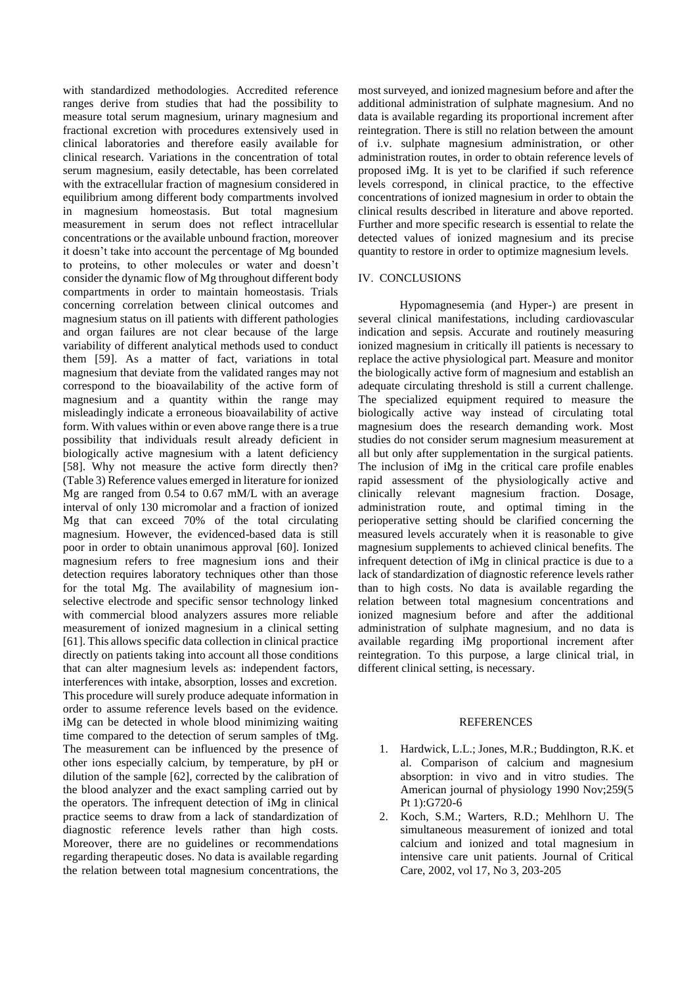with standardized methodologies. Accredited reference ranges derive from studies that had the possibility to measure total serum magnesium, urinary magnesium and fractional excretion with procedures extensively used in clinical laboratories and therefore easily available for clinical research. Variations in the concentration of total serum magnesium, easily detectable, has been correlated with the extracellular fraction of magnesium considered in equilibrium among different body compartments involved in magnesium homeostasis. But total magnesium measurement in serum does not reflect intracellular concentrations or the available unbound fraction, moreover it doesn't take into account the percentage of Mg bounded to proteins, to other molecules or water and doesn't consider the dynamic flow of Mg throughout different body compartments in order to maintain homeostasis. Trials concerning correlation between clinical outcomes and magnesium status on ill patients with different pathologies and organ failures are not clear because of the large variability of different analytical methods used to conduct them [59]. As a matter of fact, variations in total magnesium that deviate from the validated ranges may not correspond to the bioavailability of the active form of magnesium and a quantity within the range may misleadingly indicate a erroneous bioavailability of active form. With values within or even above range there is a true possibility that individuals result already deficient in biologically active magnesium with a latent deficiency [58]. Why not measure the active form directly then? (Table 3) Reference values emerged in literature for ionized Mg are ranged from 0.54 to 0.67 mM/L with an average interval of only 130 micromolar and a fraction of ionized Mg that can exceed 70% of the total circulating magnesium. However, the evidenced-based data is still poor in order to obtain unanimous approval [60]. Ionized magnesium refers to free magnesium ions and their detection requires laboratory techniques other than those for the total Mg. The availability of magnesium ionselective electrode and specific sensor technology linked with commercial blood analyzers assures more reliable measurement of ionized magnesium in a clinical setting [61]. This allows specific data collection in clinical practice directly on patients taking into account all those conditions that can alter magnesium levels as: independent factors, interferences with intake, absorption, losses and excretion. This procedure will surely produce adequate information in order to assume reference levels based on the evidence. iMg can be detected in whole blood minimizing waiting time compared to the detection of serum samples of tMg. The measurement can be influenced by the presence of other ions especially calcium, by temperature, by pH or dilution of the sample [62], corrected by the calibration of the blood analyzer and the exact sampling carried out by the operators. The infrequent detection of iMg in clinical practice seems to draw from a lack of standardization of diagnostic reference levels rather than high costs. Moreover, there are no guidelines or recommendations regarding therapeutic doses. No data is available regarding the relation between total magnesium concentrations, the

most surveyed, and ionized magnesium before and after the additional administration of sulphate magnesium. And no data is available regarding its proportional increment after reintegration. There is still no relation between the amount of i.v. sulphate magnesium administration, or other administration routes, in order to obtain reference levels of proposed iMg. It is yet to be clarified if such reference levels correspond, in clinical practice, to the effective concentrations of ionized magnesium in order to obtain the clinical results described in literature and above reported. Further and more specific research is essential to relate the detected values of ionized magnesium and its precise quantity to restore in order to optimize magnesium levels.

#### IV. CONCLUSIONS

Hypomagnesemia (and Hyper-) are present in several clinical manifestations, including cardiovascular indication and sepsis. Accurate and routinely measuring ionized magnesium in critically ill patients is necessary to replace the active physiological part. Measure and monitor the biologically active form of magnesium and establish an adequate circulating threshold is still a current challenge. The specialized equipment required to measure the biologically active way instead of circulating total magnesium does the research demanding work. Most studies do not consider serum magnesium measurement at all but only after supplementation in the surgical patients. The inclusion of iMg in the critical care profile enables rapid assessment of the physiologically active and clinically relevant magnesium fraction. Dosage, administration route, and optimal timing in the perioperative setting should be clarified concerning the measured levels accurately when it is reasonable to give magnesium supplements to achieved clinical benefits. The infrequent detection of iMg in clinical practice is due to a lack of standardization of diagnostic reference levels rather than to high costs. No data is available regarding the relation between total magnesium concentrations and ionized magnesium before and after the additional administration of sulphate magnesium, and no data is available regarding iMg proportional increment after reintegration. To this purpose, a large clinical trial, in different clinical setting, is necessary.

### **REFERENCES**

- 1. Hardwick, L.L.; Jones, M.R.; Buddington, R.K. et al. Comparison of calcium and magnesium absorption: in vivo and in vitro studies. The American journal of physiology 1990 Nov;259(5 Pt 1):G720-6
- 2. Koch, S.M.; Warters, R.D.; Mehlhorn U. The simultaneous measurement of ionized and total calcium and ionized and total magnesium in intensive care unit patients. Journal of Critical Care, 2002, vol 17, No 3, 203-205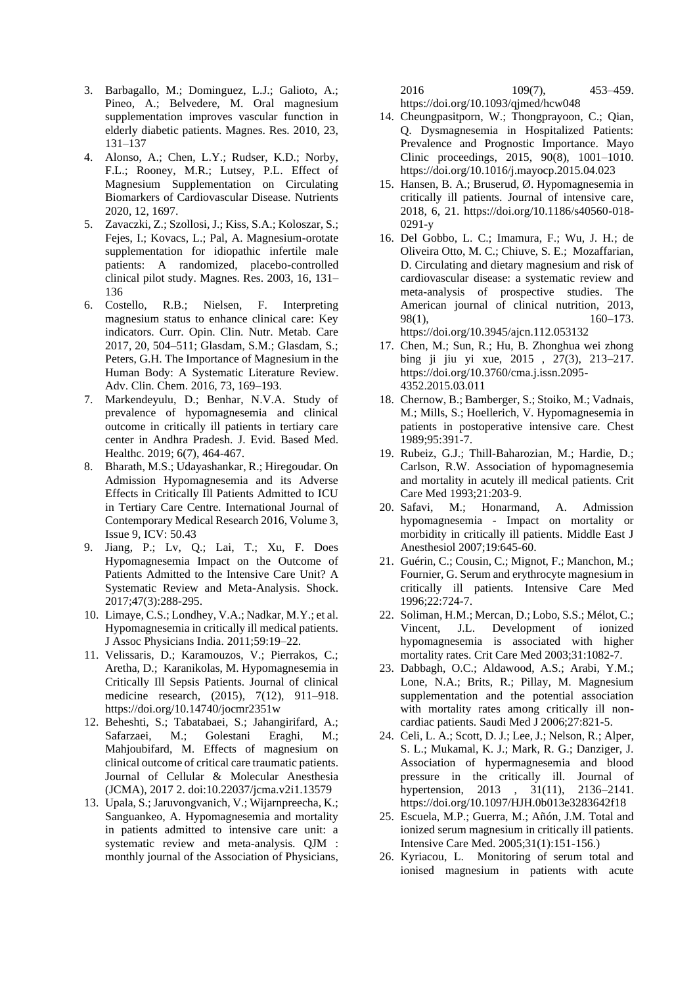- 3. Barbagallo, M.; Dominguez, L.J.; Galioto, A.; Pineo, A.; Belvedere, M. Oral magnesium supplementation improves vascular function in elderly diabetic patients. Magnes. Res. 2010, 23, 131–137
- 4. Alonso, A.; Chen, L.Y.; Rudser, K.D.; Norby, F.L.; Rooney, M.R.; Lutsey, P.L. Effect of Magnesium Supplementation on Circulating Biomarkers of Cardiovascular Disease. Nutrients 2020, 12, 1697.
- 5. Zavaczki, Z.; Szollosi, J.; Kiss, S.A.; Koloszar, S.; Fejes, I.; Kovacs, L.; Pal, A. Magnesium-orotate supplementation for idiopathic infertile male patients: A randomized, placebo-controlled clinical pilot study. Magnes. Res. 2003, 16, 131– 136
- 6. Costello, R.B.; Nielsen, F. Interpreting magnesium status to enhance clinical care: Key indicators. Curr. Opin. Clin. Nutr. Metab. Care 2017, 20, 504–511; Glasdam, S.M.; Glasdam, S.; Peters, G.H. The Importance of Magnesium in the Human Body: A Systematic Literature Review. Adv. Clin. Chem. 2016, 73, 169–193.
- 7. Markendeyulu, D.; Benhar, N.V.A. Study of prevalence of hypomagnesemia and clinical outcome in critically ill patients in tertiary care center in Andhra Pradesh. J. Evid. Based Med. Healthc. 2019; 6(7), 464-467.
- 8. Bharath, M.S.; Udayashankar, R.; Hiregoudar. On Admission Hypomagnesemia and its Adverse Effects in Critically Ill Patients Admitted to ICU in Tertiary Care Centre. International Journal of Contemporary Medical Research 2016, Volume 3, Issue 9, ICV: 50.43
- 9. Jiang, P.; Lv, Q.; Lai, T.; Xu, F. Does Hypomagnesemia Impact on the Outcome of Patients Admitted to the Intensive Care Unit? A Systematic Review and Meta-Analysis. Shock. 2017;47(3):288-295.
- 10. Limaye, C.S.; Londhey, V.A.; Nadkar, M.Y.; et al. Hypomagnesemia in critically ill medical patients. J Assoc Physicians India. 2011;59:19–22.
- 11. Velissaris, D.; Karamouzos, V.; Pierrakos, C.; Aretha, D.; Karanikolas, M. Hypomagnesemia in Critically Ill Sepsis Patients. Journal of clinical medicine research, (2015), 7(12), 911–918. https://doi.org/10.14740/jocmr2351w
- 12. Beheshti, S.; Tabatabaei, S.; Jahangirifard, A.; Safarzaei, M.; Golestani Eraghi, M.; Mahjoubifard, M. Effects of magnesium on clinical outcome of critical care traumatic patients. Journal of Cellular & Molecular Anesthesia (JCMA), 2017 2. doi:10.22037/jcma.v2i1.13579
- 13. Upala, S.; Jaruvongvanich, V.; Wijarnpreecha, K.; Sanguankeo, A. Hypomagnesemia and mortality in patients admitted to intensive care unit: a systematic review and meta-analysis. QJM : monthly journal of the Association of Physicians,

2016 109(7), 453–459. https://doi.org/10.1093/qjmed/hcw048

- 14. Cheungpasitporn, W.; Thongprayoon, C.; Qian, Q. Dysmagnesemia in Hospitalized Patients: Prevalence and Prognostic Importance. Mayo Clinic proceedings, 2015, 90(8), 1001–1010. https://doi.org/10.1016/j.mayocp.2015.04.023
- 15. Hansen, B. A.; Bruserud, Ø. Hypomagnesemia in critically ill patients. Journal of intensive care, 2018, 6, 21. https://doi.org/10.1186/s40560-018- 0291-y
- 16. Del Gobbo, L. C.; Imamura, F.; Wu, J. H.; de Oliveira Otto, M. C.; Chiuve, S. E.; Mozaffarian, D. Circulating and dietary magnesium and risk of cardiovascular disease: a systematic review and meta-analysis of prospective studies. The American journal of clinical nutrition, 2013, 98(1), 160–173. https://doi.org/10.3945/ajcn.112.053132
- 17. Chen, M.; Sun, R.; Hu, B. Zhonghua wei zhong bing ji jiu yi xue, 2015 , 27(3), 213–217. https://doi.org/10.3760/cma.j.issn.2095- 4352.2015.03.011
- 18. Chernow, B.; Bamberger, S.; Stoiko, M.; Vadnais, M.; Mills, S.; Hoellerich, V. Hypomagnesemia in patients in postoperative intensive care. Chest 1989;95:391-7.
- 19. Rubeiz, G.J.; Thill-Baharozian, M.; Hardie, D.; Carlson, R.W. Association of hypomagnesemia and mortality in acutely ill medical patients. Crit Care Med 1993;21:203-9.
- 20. Safavi, M.; Honarmand, A. Admission hypomagnesemia - Impact on mortality or morbidity in critically ill patients. Middle East J Anesthesiol 2007;19:645-60.
- 21. Guérin, C.; Cousin, C.; Mignot, F.; Manchon, M.; Fournier, G. Serum and erythrocyte magnesium in critically ill patients. Intensive Care Med 1996;22:724-7.
- 22. Soliman, H.M.; Mercan, D.; Lobo, S.S.; Mélot, C.; Vincent, J.L. Development of ionized hypomagnesemia is associated with higher mortality rates. Crit Care Med 2003;31:1082-7.
- 23. Dabbagh, O.C.; Aldawood, A.S.; Arabi, Y.M.; Lone, N.A.; Brits, R.; Pillay, M. Magnesium supplementation and the potential association with mortality rates among critically ill noncardiac patients. Saudi Med J 2006;27:821-5.
- 24. Celi, L. A.; Scott, D. J.; Lee, J.; Nelson, R.; Alper, S. L.; Mukamal, K. J.; Mark, R. G.; Danziger, J. Association of hypermagnesemia and blood pressure in the critically ill. Journal of hypertension, 2013, 31(11), 2136–2141. https://doi.org/10.1097/HJH.0b013e3283642f18
- 25. Escuela, M.P.; Guerra, M.; Añón, J.M. Total and ionized serum magnesium in critically ill patients. Intensive Care Med. 2005;31(1):151-156.)
- 26. Kyriacou, L. Monitoring of serum total and ionised magnesium in patients with acute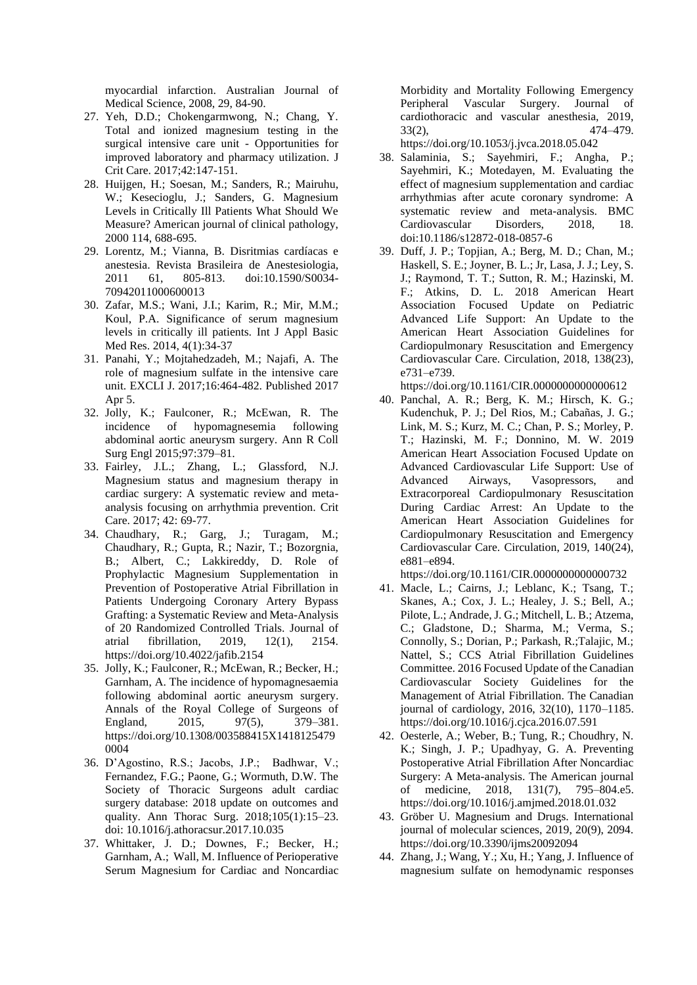myocardial infarction. Australian Journal of Medical Science, 2008, 29, 84-90.

- 27. Yeh, D.D.; Chokengarmwong, N.; Chang, Y. Total and ionized magnesium testing in the surgical intensive care unit - Opportunities for improved laboratory and pharmacy utilization. J Crit Care. 2017;42:147-151.
- 28. Huijgen, H.; Soesan, M.; Sanders, R.; Mairuhu, W.; Kesecioglu, J.; Sanders, G. Magnesium Levels in Critically Ill Patients What Should We Measure? American journal of clinical pathology, 2000 114, 688-695.
- 29. Lorentz, M.; Vianna, B. Disritmias cardíacas e anestesia. Revista Brasileira de Anestesiologia, 2011 61, 805-813. doi:10.1590/S0034- 70942011000600013
- 30. Zafar, M.S.; Wani, J.I.; Karim, R.; Mir, M.M.; Koul, P.A. Significance of serum magnesium levels in critically ill patients. Int J Appl Basic Med Res. 2014, 4(1):34-37
- 31. Panahi, Y.; Mojtahedzadeh, M.; Najafi, A. The role of magnesium sulfate in the intensive care unit. EXCLI J. 2017;16:464-482. Published 2017 Apr 5.
- 32. Jolly, K.; Faulconer, R.; McEwan, R. The incidence of hypomagnesemia following abdominal aortic aneurysm surgery. Ann R Coll Surg Engl 2015;97:379–81.
- 33. Fairley, J.L.; Zhang, L.; Glassford, N.J. Magnesium status and magnesium therapy in cardiac surgery: A systematic review and metaanalysis focusing on arrhythmia prevention. Crit Care. 2017; 42: 69-77.
- 34. Chaudhary, R.; Garg, J.; Turagam, M.; Chaudhary, R.; Gupta, R.; Nazir, T.; Bozorgnia, B.; Albert, C.; Lakkireddy, D. Role of Prophylactic Magnesium Supplementation in Prevention of Postoperative Atrial Fibrillation in Patients Undergoing Coronary Artery Bypass Grafting: a Systematic Review and Meta-Analysis of 20 Randomized Controlled Trials. Journal of atrial fibrillation, 2019, 12(1), 2154. https://doi.org/10.4022/jafib.2154
- 35. Jolly, K.; Faulconer, R.; McEwan, R.; Becker, H.; Garnham, A. The incidence of hypomagnesaemia following abdominal aortic aneurysm surgery. Annals of the Royal College of Surgeons of England, 2015, 97(5), 379–381. https://doi.org/10.1308/003588415X1418125479 0004
- 36. D'Agostino, R.S.; Jacobs, J.P.; Badhwar, V.; Fernandez, F.G.; Paone, G.; Wormuth, D.W. The Society of Thoracic Surgeons adult cardiac surgery database: 2018 update on outcomes and quality. Ann Thorac Surg. 2018;105(1):15–23. doi: 10.1016/j.athoracsur.2017.10.035
- 37. Whittaker, J. D.; Downes, F.; Becker, H.; Garnham, A.; Wall, M. Influence of Perioperative Serum Magnesium for Cardiac and Noncardiac

Morbidity and Mortality Following Emergency Peripheral Vascular Surgery. Journal of cardiothoracic and vascular anesthesia, 2019, 33(2), 474–479.

https://doi.org/10.1053/j.jvca.2018.05.042

- 38. Salaminia, S.; Sayehmiri, F.; Angha, P.; Sayehmiri, K.; Motedayen, M. Evaluating the effect of magnesium supplementation and cardiac arrhythmias after acute coronary syndrome: A systematic review and meta-analysis. BMC Cardiovascular Disorders, 2018, 18. doi:10.1186/s12872-018-0857-6
- 39. Duff, J. P.; Topjian, A.; Berg, M. D.; Chan, M.; Haskell, S. E.; Joyner, B. L.; Jr, Lasa, J. J.; Ley, S. J.; Raymond, T. T.; Sutton, R. M.; Hazinski, M. F.; Atkins, D. L. 2018 American Heart Association Focused Update on Pediatric Advanced Life Support: An Update to the American Heart Association Guidelines for Cardiopulmonary Resuscitation and Emergency Cardiovascular Care. Circulation, 2018, 138(23), e731–e739.

https://doi.org/10.1161/CIR.0000000000000612

40. Panchal, A. R.; Berg, K. M.; Hirsch, K. G.; Kudenchuk, P. J.; Del Rios, M.; Cabañas, J. G.; Link, M. S.; Kurz, M. C.; Chan, P. S.; Morley, P. T.; Hazinski, M. F.; Donnino, M. W. 2019 American Heart Association Focused Update on Advanced Cardiovascular Life Support: Use of Advanced Airways, Vasopressors, and Extracorporeal Cardiopulmonary Resuscitation During Cardiac Arrest: An Update to the American Heart Association Guidelines for Cardiopulmonary Resuscitation and Emergency Cardiovascular Care. Circulation, 2019, 140(24), e881–e894.

https://doi.org/10.1161/CIR.0000000000000732

- 41. Macle, L.; Cairns, J.; Leblanc, K.; Tsang, T.; Skanes, A.; Cox, J. L.; Healey, J. S.; Bell, A.; Pilote, L.; Andrade, J. G.; Mitchell, L. B.; Atzema, C.; Gladstone, D.; Sharma, M.; Verma, S.; Connolly, S.; Dorian, P.; Parkash, R.;Talajic, M.; Nattel, S.; CCS Atrial Fibrillation Guidelines Committee. 2016 Focused Update of the Canadian Cardiovascular Society Guidelines for the Management of Atrial Fibrillation. The Canadian journal of cardiology, 2016, 32(10), 1170–1185. https://doi.org/10.1016/j.cjca.2016.07.591
- 42. Oesterle, A.; Weber, B.; Tung, R.; Choudhry, N. K.; Singh, J. P.; Upadhyay, G. A. Preventing Postoperative Atrial Fibrillation After Noncardiac Surgery: A Meta-analysis. The American journal of medicine, 2018, 131(7), 795–804.e5. https://doi.org/10.1016/j.amjmed.2018.01.032
- 43. Gröber U. Magnesium and Drugs. International journal of molecular sciences, 2019, 20(9), 2094. https://doi.org/10.3390/ijms20092094
- 44. Zhang, J.; Wang, Y.; Xu, H.; Yang, J. Influence of magnesium sulfate on hemodynamic responses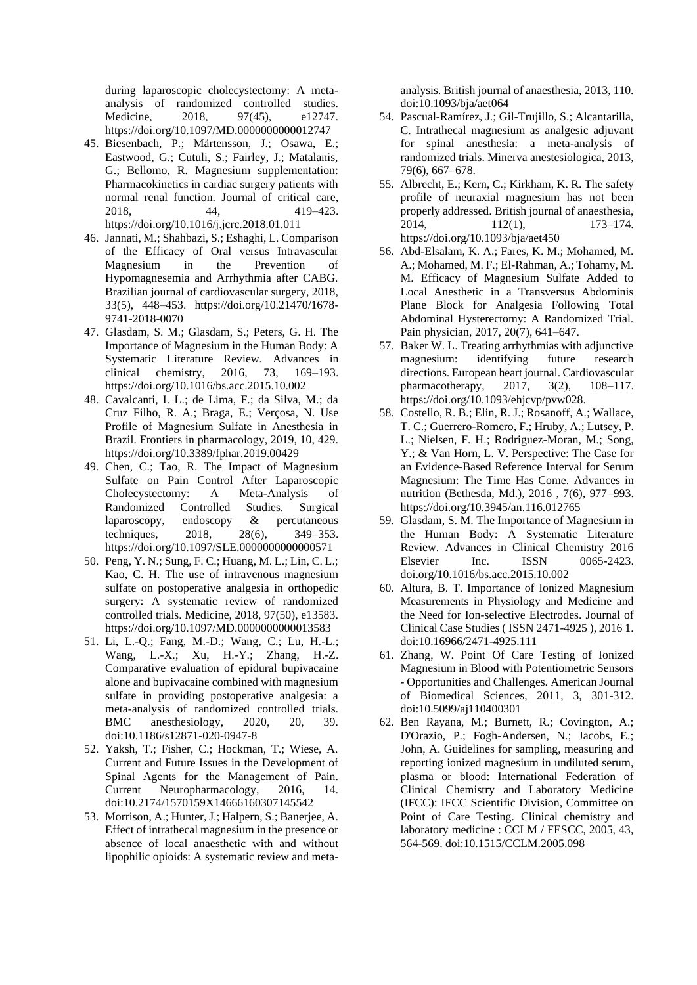during laparoscopic cholecystectomy: A metaanalysis of randomized controlled studies. Medicine, 2018, 97(45), e12747. https://doi.org/10.1097/MD.0000000000012747

- 45. Biesenbach, P.; Mårtensson, J.; Osawa, E.; Eastwood, G.; Cutuli, S.; Fairley, J.; Matalanis, G.; Bellomo, R. Magnesium supplementation: Pharmacokinetics in cardiac surgery patients with normal renal function. Journal of critical care, 2018, 44, 419–423. https://doi.org/10.1016/j.jcrc.2018.01.011
- 46. Jannati, M.; Shahbazi, S.; Eshaghi, L. Comparison of the Efficacy of Oral versus Intravascular Magnesium in the Prevention of Hypomagnesemia and Arrhythmia after CABG. Brazilian journal of cardiovascular surgery, 2018, 33(5), 448–453. https://doi.org/10.21470/1678- 9741-2018-0070
- 47. Glasdam, S. M.; Glasdam, S.; Peters, G. H. The Importance of Magnesium in the Human Body: A Systematic Literature Review. Advances in clinical chemistry, 2016, 73, 169–193. https://doi.org/10.1016/bs.acc.2015.10.002
- 48. Cavalcanti, I. L.; de Lima, F.; da Silva, M.; da Cruz Filho, R. A.; Braga, E.; Verçosa, N. Use Profile of Magnesium Sulfate in Anesthesia in Brazil. Frontiers in pharmacology, 2019, 10, 429. https://doi.org/10.3389/fphar.2019.00429
- 49. Chen, C.; Tao, R. The Impact of Magnesium Sulfate on Pain Control After Laparoscopic Cholecystectomy: A Meta-Analysis of Randomized Controlled Studies. Surgical laparoscopy, endoscopy & percutaneous techniques, 2018, 28(6), 349–353. https://doi.org/10.1097/SLE.0000000000000571
- 50. Peng, Y. N.; Sung, F. C.; Huang, M. L.; Lin, C. L.; Kao, C. H. The use of intravenous magnesium sulfate on postoperative analgesia in orthopedic surgery: A systematic review of randomized controlled trials. Medicine, 2018, 97(50), e13583. https://doi.org/10.1097/MD.0000000000013583
- 51. Li, L.-Q.; Fang, M.-D.; Wang, C.; Lu, H.-L.; Wang, L.-X.; Xu, H.-Y.; Zhang, H.-Z. Comparative evaluation of epidural bupivacaine alone and bupivacaine combined with magnesium sulfate in providing postoperative analgesia: a meta-analysis of randomized controlled trials. BMC anesthesiology, 2020, 20, 39. doi:10.1186/s12871-020-0947-8
- 52. Yaksh, T.; Fisher, C.; Hockman, T.; Wiese, A. Current and Future Issues in the Development of Spinal Agents for the Management of Pain. Current Neuropharmacology, 2016, 14. doi:10.2174/1570159X14666160307145542
- 53. Morrison, A.; Hunter, J.; Halpern, S.; Banerjee, A. Effect of intrathecal magnesium in the presence or absence of local anaesthetic with and without lipophilic opioids: A systematic review and meta-

analysis. British journal of anaesthesia, 2013, 110. doi:10.1093/bja/aet064

- 54. Pascual-Ramírez, J.; Gil-Trujillo, S.; Alcantarilla, C. Intrathecal magnesium as analgesic adjuvant for spinal anesthesia: a meta-analysis of randomized trials. Minerva anestesiologica, 2013, 79(6), 667–678.
- 55. Albrecht, E.; Kern, C.; Kirkham, K. R. The safety profile of neuraxial magnesium has not been properly addressed. British journal of anaesthesia,  $2014,$  112(1), 173–174. https://doi.org/10.1093/bja/aet450
- 56. Abd-Elsalam, K. A.; Fares, K. M.; Mohamed, M. A.; Mohamed, M. F.; El-Rahman, A.; Tohamy, M. M. Efficacy of Magnesium Sulfate Added to Local Anesthetic in a Transversus Abdominis Plane Block for Analgesia Following Total Abdominal Hysterectomy: A Randomized Trial. Pain physician, 2017, 20(7), 641–647.
- 57. Baker W. L. Treating arrhythmias with adjunctive magnesium: identifying future research directions. European heart journal. Cardiovascular pharmacotherapy, 2017, 3(2), 108–117. https://doi.org/10.1093/ehjcvp/pvw028.
- 58. Costello, R. B.; Elin, R. J.; Rosanoff, A.; Wallace, T. C.; Guerrero-Romero, F.; Hruby, A.; Lutsey, P. L.; Nielsen, F. H.; Rodriguez-Moran, M.; Song, Y.; & Van Horn, L. V. Perspective: The Case for an Evidence-Based Reference Interval for Serum Magnesium: The Time Has Come. Advances in nutrition (Bethesda, Md.), 2016 , 7(6), 977–993. https://doi.org/10.3945/an.116.012765
- 59. Glasdam, S. M. The Importance of Magnesium in the Human Body: A Systematic Literature Review. Advances in Clinical Chemistry 2016 Elsevier Inc. ISSN 0065-2423. doi.org/10.1016/bs.acc.2015.10.002
- 60. Altura, B. T. Importance of Ionized Magnesium Measurements in Physiology and Medicine and the Need for Ion-selective Electrodes. Journal of Clinical Case Studies ( ISSN 2471-4925 ), 2016 1. doi:10.16966/2471-4925.111
- 61. Zhang, W. Point Of Care Testing of Ionized Magnesium in Blood with Potentiometric Sensors - Opportunities and Challenges. American Journal of Biomedical Sciences, 2011, 3, 301-312. doi:10.5099/aj110400301
- 62. Ben Rayana, M.; Burnett, R.; Covington, A.; D'Orazio, P.; Fogh-Andersen, N.; Jacobs, E.; John, A. Guidelines for sampling, measuring and reporting ionized magnesium in undiluted serum, plasma or blood: International Federation of Clinical Chemistry and Laboratory Medicine (IFCC): IFCC Scientific Division, Committee on Point of Care Testing. Clinical chemistry and laboratory medicine : CCLM / FESCC, 2005, 43, 564-569. doi:10.1515/CCLM.2005.098